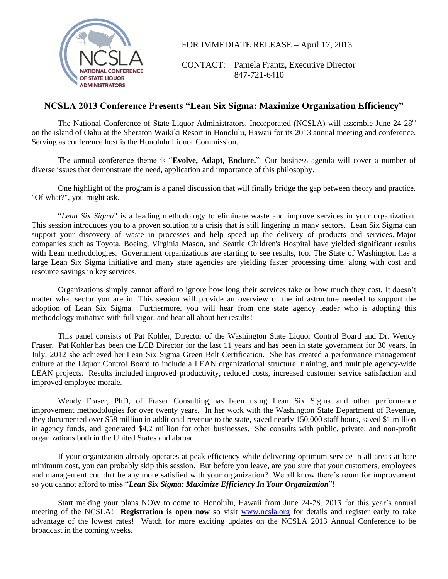

FOR IMMEDIATE RELEASE – April 17, 2013

CONTACT: Pamela Frantz, Executive Director NATIONAL CONFERENCE  $847-721-6410$ 

## **NCSLA 2013 Conference Presents "Lean Six Sigma: Maximize Organization Efficiency"**

The National Conference of State Liquor Administrators, Incorporated (NCSLA) will assemble June 24-28<sup>th</sup> on the island of Oahu at the Sheraton Waikiki Resort in Honolulu, Hawaii for its 2013 annual meeting and conference. Serving as conference host is the Honolulu Liquor Commission.

The annual conference theme is "**Evolve, Adapt, Endure.**" Our business agenda will cover a number of diverse issues that demonstrate the need, application and importance of this philosophy.

One highlight of the program is a panel discussion that will finally bridge the gap between theory and practice. "Of what?", you might ask.

"*Lean Six Sigma*" is a leading methodology to eliminate waste and improve services in your organization. This session introduces you to a proven solution to a crisis that is still lingering in many sectors. Lean Six Sigma can support your discovery of waste in processes and help speed up the delivery of products and services. Major companies such as Toyota, Boeing, Virginia Mason, and Seattle Children's Hospital have yielded significant results with Lean methodologies. Government organizations are starting to see results, too. The State of Washington has a large Lean Six Sigma initiative and many state agencies are yielding faster processing time, along with cost and resource savings in key services.

Organizations simply cannot afford to ignore how long their services take or how much they cost. It doesn't matter what sector you are in. This session will provide an overview of the infrastructure needed to support the adoption of Lean Six Sigma. Furthermore, you will hear from one state agency leader who is adopting this methodology initiative with full vigor, and hear all about her results!

This panel consists of Pat Kohler, Director of the Washington State Liquor Control Board and Dr. Wendy Fraser. Pat Kohler has been the LCB Director for the last 11 years and has been in state government for 30 years. In July, 2012 she achieved her Lean Six Sigma Green Belt Certification. She has created a performance management culture at the Liquor Control Board to include a LEAN organizational structure, training, and multiple agency-wide LEAN projects. Results included improved productivity, reduced costs, increased customer service satisfaction and improved employee morale.

Wendy Fraser, PhD, of Fraser Consulting, has been using Lean Six Sigma and other performance improvement methodologies for over twenty years. In her work with the Washington State Department of Revenue, they documented over \$58 million in additional revenue to the state, saved nearly 150,000 staff hours, saved \$1 million in agency funds, and generated \$4.2 million for other businesses. She consults with public, private, and non-profit organizations both in the United States and abroad.

If your organization already operates at peak efficiency while delivering optimum service in all areas at bare minimum cost, you can probably skip this session. But before you leave, are you sure that your customers, employees and management couldn't be any more satisfied with your organization? We all know there's room for improvement so you cannot afford to miss "*Lean Six Sigma: Maximize Efficiency In Your Organization*"!

Start making your plans NOW to come to Honolulu, Hawaii from June 24-28, 2013 for this year's annual meeting of the NCSLA! **Registration is open now** so visit [www.ncsla.org](http://www.ncsla.org/) for details and register early to take advantage of the lowest rates! Watch for more exciting updates on the NCSLA 2013 Annual Conference to be broadcast in the coming weeks.